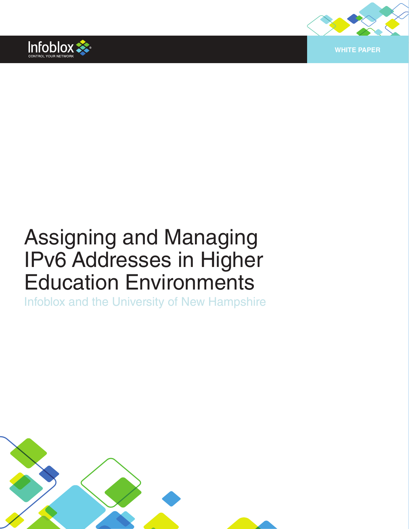



# Assigning and Managing IPv6 Addresses in Higher Education Environments

Infoblox and the University of New Hampshire

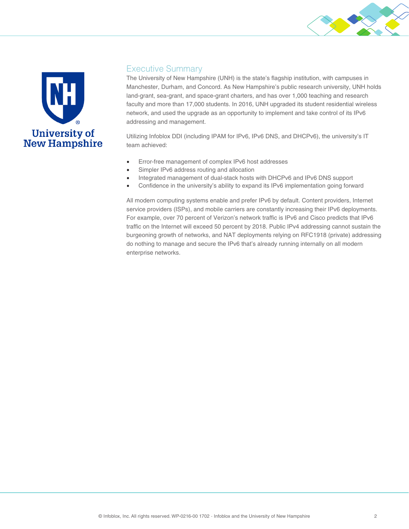



#### Executive Summary

The University of New Hampshire (UNH) is the state's flagship institution, with campuses in Manchester, Durham, and Concord. As New Hampshire's public research university, UNH holds land-grant, sea-grant, and space-grant charters, and has over 1,000 teaching and research faculty and more than 17,000 students. In 2016, UNH upgraded its student residential wireless network, and used the upgrade as an opportunity to implement and take control of its IPv6 addressing and management.

Utilizing Infoblox DDI (including IPAM for IPv6, IPv6 DNS, and DHCPv6), the university's IT team achieved:

- Error-free management of complex IPv6 host addresses
- Simpler IPv6 address routing and allocation
- Integrated management of dual-stack hosts with DHCPv6 and IPv6 DNS support
- Confidence in the university's ability to expand its IPv6 implementation going forward

All modern computing systems enable and prefer IPv6 by default. Content providers, Internet service providers (ISPs), and mobile carriers are constantly increasing their IPv6 deployments. For example, over 70 percent of Verizon's network traffic is IPv6 and Cisco predicts that IPv6 traffic on the Internet will exceed 50 percent by 2018. Public IPv4 addressing cannot sustain the burgeoning growth of networks, and NAT deployments relying on RFC1918 (private) addressing do nothing to manage and secure the IPv6 that's already running internally on all modern enterprise networks.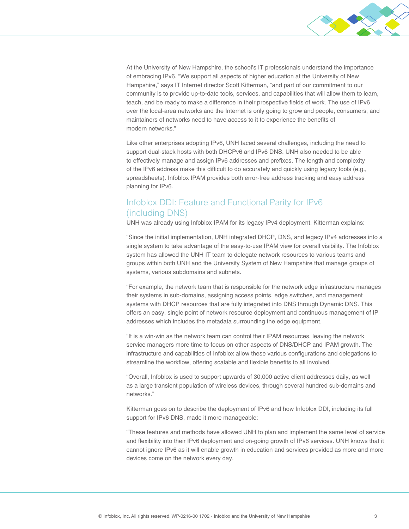

At the University of New Hampshire, the school's IT professionals understand the importance of embracing IPv6. "We support all aspects of higher education at the University of New Hampshire," says IT Internet director Scott Kitterman, "and part of our commitment to our community is to provide up-to-date tools, services, and capabilities that will allow them to learn, teach, and be ready to make a difference in their prospective fields of work. The use of IPv6 over the local-area networks and the Internet is only going to grow and people, consumers, and maintainers of networks need to have access to it to experience the benefits of modern networks."

Like other enterprises adopting IPv6, UNH faced several challenges, including the need to support dual-stack hosts with both DHCPv6 and IPv6 DNS. UNH also needed to be able to effectively manage and assign IPv6 addresses and prefixes. The length and complexity of the IPv6 address make this difficult to do accurately and quickly using legacy tools (e.g., spreadsheets). Infoblox IPAM provides both error-free address tracking and easy address planning for IPv6.

## Infoblox DDI: Feature and Functional Parity for IPv6 (including DNS)

UNH was already using Infoblox IPAM for its legacy IPv4 deployment. Kitterman explains:

"Since the initial implementation, UNH integrated DHCP, DNS, and legacy IPv4 addresses into a single system to take advantage of the easy-to-use IPAM view for overall visibility. The Infoblox system has allowed the UNH IT team to delegate network resources to various teams and groups within both UNH and the University System of New Hampshire that manage groups of systems, various subdomains and subnets.

"For example, the network team that is responsible for the network edge infrastructure manages their systems in sub-domains, assigning access points, edge switches, and management systems with DHCP resources that are fully integrated into DNS through Dynamic DNS. This offers an easy, single point of network resource deployment and continuous management of IP addresses which includes the metadata surrounding the edge equipment.

"It is a win-win as the network team can control their IPAM resources, leaving the network service managers more time to focus on other aspects of DNS/DHCP and IPAM growth. The infrastructure and capabilities of Infoblox allow these various configurations and delegations to streamline the workflow, offering scalable and flexible benefits to all involved.

"Overall, Infoblox is used to support upwards of 30,000 active client addresses daily, as well as a large transient population of wireless devices, through several hundred sub-domains and networks."

Kitterman goes on to describe the deployment of IPv6 and how Infoblox DDI, including its full support for IPv6 DNS, made it more manageable:

"These features and methods have allowed UNH to plan and implement the same level of service and flexibility into their IPv6 deployment and on-going growth of IPv6 services. UNH knows that it cannot ignore IPv6 as it will enable growth in education and services provided as more and more devices come on the network every day.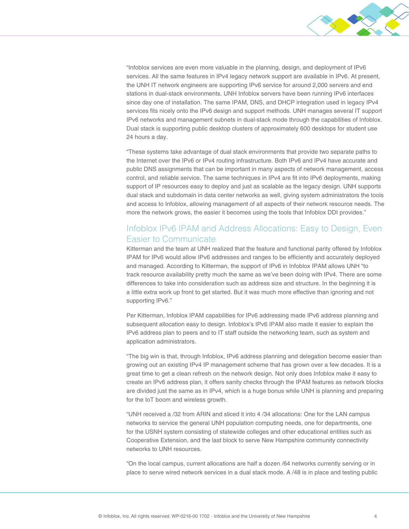

"Infoblox services are even more valuable in the planning, design, and deployment of IPv6 services. All the same features in IPv4 legacy network support are available in IPv6. At present, the UNH IT network engineers are supporting IPv6 service for around 2,000 servers and end stations in dual-stack environments. UNH Infoblox servers have been running IPv6 interfaces since day one of installation. The same IPAM, DNS, and DHCP integration used in legacy IPv4 services fits nicely onto the IPv6 design and support methods. UNH manages several IT support IPv6 networks and management subnets in dual-stack mode through the capabilities of Infoblox. Dual stack is supporting public desktop clusters of approximately 600 desktops for student use 24 hours a day.

"These systems take advantage of dual stack environments that provide two separate paths to the Internet over the IPv6 or IPv4 routing infrastructure. Both IPv6 and IPv4 have accurate and public DNS assignments that can be important in many aspects of network management, access control, and reliable service. The same techniques in IPv4 are fit into IPv6 deployments, making support of IP resources easy to deploy and just as scalable as the legacy design. UNH supports dual stack and subdomain in data center networks as well, giving system administrators the tools and access to Infoblox, allowing management of all aspects of their network resource needs. The more the network grows, the easier it becomes using the tools that Infoblox DDI provides."

### Infoblox IPv6 IPAM and Address Allocations: Easy to Design, Even Easier to Communicate

Kitterman and the team at UNH realized that the feature and functional parity offered by Infoblox IPAM for IPv6 would allow IPv6 addresses and ranges to be efficiently and accurately deployed and managed. According to Kitterman, the support of IPv6 in Infoblox IPAM allows UNH "to track resource availability pretty much the same as we've been doing with IPv4. There are some differences to take into consideration such as address size and structure. In the beginning it is a little extra work up front to get started. But it was much more effective than ignoring and not supporting IPv6."

Per Kitterman, Infoblox IPAM capabilities for IPv6 addressing made IPv6 address planning and subsequent allocation easy to design. Infoblox's IPv6 IPAM also made it easier to explain the IPv6 address plan to peers and to IT staff outside the networking team, such as system and application administrators.

"The big win is that, through Infoblox, IPv6 address planning and delegation become easier than growing out an existing IPv4 IP management scheme that has grown over a few decades. It is a great time to get a clean refresh on the network design. Not only does Infoblox make it easy to create an IPv6 address plan, it offers sanity checks through the IPAM features as network blocks are divided just the same as in IPv4, which is a huge bonus while UNH is planning and preparing for the IoT boom and wireless growth.

"UNH received a /32 from ARIN and sliced it into 4 /34 allocations: One for the LAN campus networks to service the general UNH population computing needs, one for departments, one for the USNH system consisting of statewide colleges and other educational entities such as Cooperative Extension, and the last block to serve New Hampshire community connectivity networks to UNH resources.

"On the local campus, current allocations are half a dozen /64 networks currently serving or in place to serve wired network services in a dual stack mode. A /48 is in place and testing public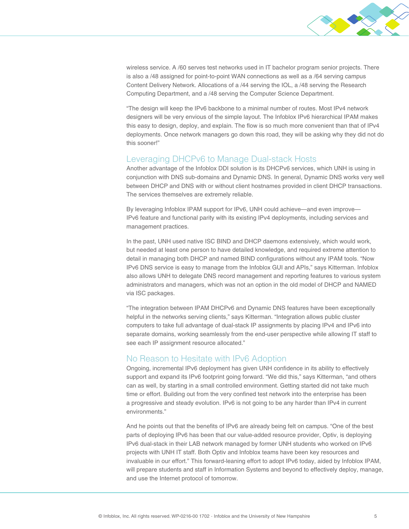

wireless service. A /60 serves test networks used in IT bachelor program senior projects. There is also a /48 assigned for point-to-point WAN connections as well as a /64 serving campus Content Delivery Network. Allocations of a /44 serving the IOL, a /48 serving the Research Computing Department, and a /48 serving the Computer Science Department.

"The design will keep the IPv6 backbone to a minimal number of routes. Most IPv4 network designers will be very envious of the simple layout. The Infoblox IPv6 hierarchical IPAM makes this easy to design, deploy, and explain. The flow is so much more convenient than that of IPv4 deployments. Once network managers go down this road, they will be asking why they did not do this sooner!"

#### Leveraging DHCPv6 to Manage Dual-stack Hosts

Another advantage of the Infoblox DDI solution is its DHCPv6 services, which UNH is using in conjunction with DNS sub-domains and Dynamic DNS. In general, Dynamic DNS works very well between DHCP and DNS with or without client hostnames provided in client DHCP transactions. The services themselves are extremely reliable.

By leveraging Infoblox IPAM support for IPv6, UNH could achieve—and even improve— IPv6 feature and functional parity with its existing IPv4 deployments, including services and management practices.

In the past, UNH used native ISC BIND and DHCP daemons extensively, which would work, but needed at least one person to have detailed knowledge, and required extreme attention to detail in managing both DHCP and named BIND configurations without any IPAM tools. "Now IPv6 DNS service is easy to manage from the Infoblox GUI and APIs," says Kitterman. Infoblox also allows UNH to delegate DNS record management and reporting features to various system administrators and managers, which was not an option in the old model of DHCP and NAMED via ISC packages.

"The integration between IPAM DHCPv6 and Dynamic DNS features have been exceptionally helpful in the networks serving clients," says Kitterman. "Integration allows public cluster computers to take full advantage of dual-stack IP assignments by placing IPv4 and IPv6 into separate domains, working seamlessly from the end-user perspective while allowing IT staff to see each IP assignment resource allocated."

#### No Reason to Hesitate with IPv6 Adoption

Ongoing, incremental IPv6 deployment has given UNH confidence in its ability to effectively support and expand its IPv6 footprint going forward. "We did this," says Kitterman, "and others can as well, by starting in a small controlled environment. Getting started did not take much time or effort. Building out from the very confined test network into the enterprise has been a progressive and steady evolution. IPv6 is not going to be any harder than IPv4 in current environments."

And he points out that the benefits of IPv6 are already being felt on campus. "One of the best parts of deploying IPv6 has been that our value-added resource provider, Optiv, is deploying IPv6 dual-stack in their LAB network managed by former UNH students who worked on IPv6 projects with UNH IT staff. Both Optiv and Infoblox teams have been key resources and invaluable in our effort." This forward-leaning effort to adopt IPv6 today, aided by Infoblox IPAM, will prepare students and staff in Information Systems and beyond to effectively deploy, manage, and use the Internet protocol of tomorrow.